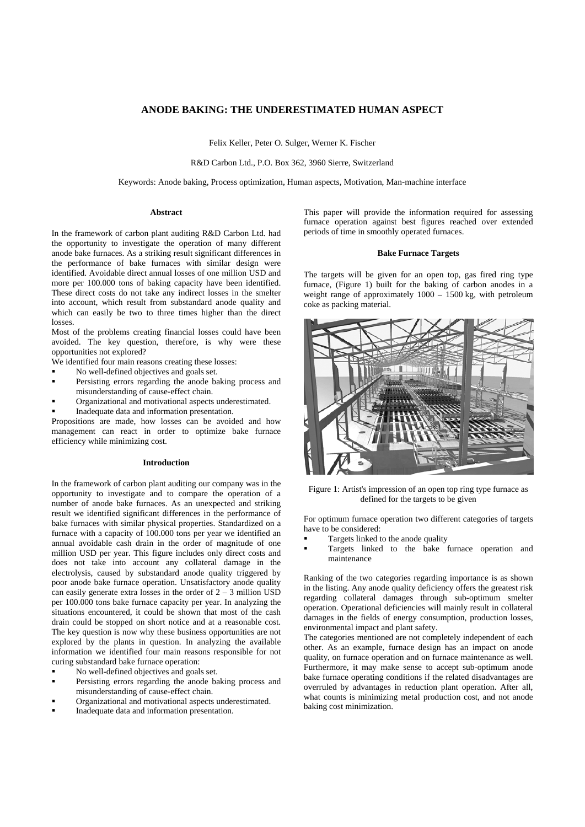### **ANODE BAKING: THE UNDERESTIMATED HUMAN ASPECT**

Felix Keller, Peter O. Sulger, Werner K. Fischer

R&D Carbon Ltd., P.O. Box 362, 3960 Sierre, Switzerland

Keywords: Anode baking, Process optimization, Human aspects, Motivation, Man-machine interface

#### **Abstract**

In the framework of carbon plant auditing R&D Carbon Ltd. had the opportunity to investigate the operation of many different anode bake furnaces. As a striking result significant differences in the performance of bake furnaces with similar design were identified. Avoidable direct annual losses of one million USD and more per 100.000 tons of baking capacity have been identified. These direct costs do not take any indirect losses in the smelter into account, which result from substandard anode quality and which can easily be two to three times higher than the direct losses.

Most of the problems creating financial losses could have been avoided. The key question, therefore, is why were these opportunities not explored?

We identified four main reasons creating these losses:

- No well-defined objectives and goals set.
- Persisting errors regarding the anode baking process and misunderstanding of cause-effect chain.
- Organizational and motivational aspects underestimated.
- Inadequate data and information presentation.

Propositions are made, how losses can be avoided and how management can react in order to optimize bake furnace efficiency while minimizing cost.

#### **Introduction**

In the framework of carbon plant auditing our company was in the opportunity to investigate and to compare the operation of a number of anode bake furnaces. As an unexpected and striking result we identified significant differences in the performance of bake furnaces with similar physical properties. Standardized on a furnace with a capacity of 100.000 tons per year we identified an annual avoidable cash drain in the order of magnitude of one million USD per year. This figure includes only direct costs and does not take into account any collateral damage in the electrolysis, caused by substandard anode quality triggered by poor anode bake furnace operation. Unsatisfactory anode quality can easily generate extra losses in the order of  $2 - 3$  million USD per 100.000 tons bake furnace capacity per year. In analyzing the situations encountered, it could be shown that most of the cash drain could be stopped on short notice and at a reasonable cost. The key question is now why these business opportunities are not explored by the plants in question. In analyzing the available information we identified four main reasons responsible for not curing substandard bake furnace operation:

- No well-defined objectives and goals set.
- Persisting errors regarding the anode baking process and misunderstanding of cause-effect chain.
- Organizational and motivational aspects underestimated.
- Inadequate data and information presentation.

This paper will provide the information required for assessing furnace operation against best figures reached over extended periods of time in smoothly operated furnaces.

#### **Bake Furnace Targets**

The targets will be given for an open top, gas fired ring type furnace, (Figure 1) built for the baking of carbon anodes in a weight range of approximately 1000 – 1500 kg, with petroleum coke as packing material.



Figure 1: Artist's impression of an open top ring type furnace as defined for the targets to be given

For optimum furnace operation two different categories of targets have to be considered:

- Targets linked to the anode quality
- Targets linked to the bake furnace operation and maintenance

Ranking of the two categories regarding importance is as shown in the listing. Any anode quality deficiency offers the greatest risk regarding collateral damages through sub-optimum smelter operation. Operational deficiencies will mainly result in collateral damages in the fields of energy consumption, production losses, environmental impact and plant safety.

The categories mentioned are not completely independent of each other. As an example, furnace design has an impact on anode quality, on furnace operation and on furnace maintenance as well. Furthermore, it may make sense to accept sub-optimum anode bake furnace operating conditions if the related disadvantages are overruled by advantages in reduction plant operation. After all, what counts is minimizing metal production cost, and not anode baking cost minimization.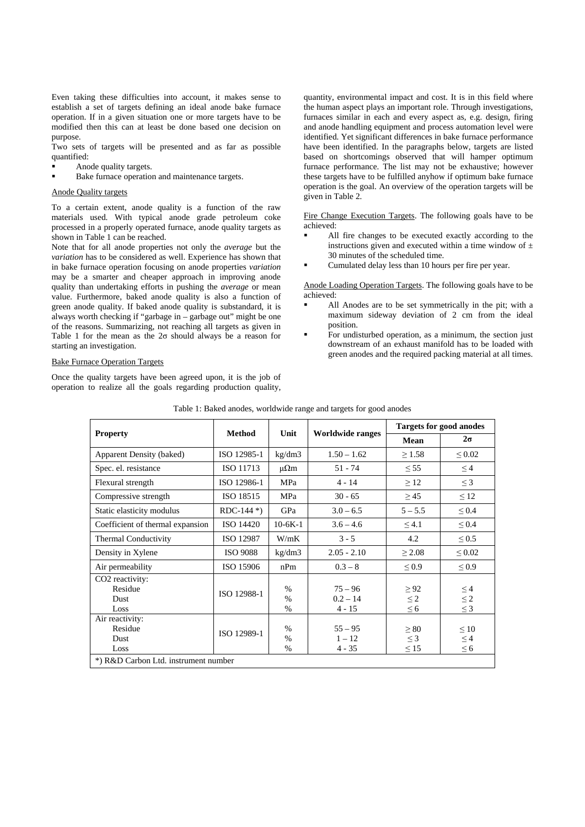Even taking these difficulties into account, it makes sense to establish a set of targets defining an ideal anode bake furnace operation. If in a given situation one or more targets have to be modified then this can at least be done based one decision on purpose.

Two sets of targets will be presented and as far as possible quantified:

- Anode quality targets.
- Bake furnace operation and maintenance targets.

#### Anode Quality targets

To a certain extent, anode quality is a function of the raw materials used. With typical anode grade petroleum coke processed in a properly operated furnace, anode quality targets as shown in Table 1 can be reached.

Note that for all anode properties not only the *average* but the *variation* has to be considered as well. Experience has shown that in bake furnace operation focusing on anode properties *variation* may be a smarter and cheaper approach in improving anode quality than undertaking efforts in pushing the *average* or mean value. Furthermore, baked anode quality is also a function of green anode quality. If baked anode quality is substandard, it is always worth checking if "garbage in – garbage out" might be one of the reasons. Summarizing, not reaching all targets as given in Table 1 for the mean as the 2σ should always be a reason for starting an investigation.

### Bake Furnace Operation Targets

Once the quality targets have been agreed upon, it is the job of operation to realize all the goals regarding production quality, quantity, environmental impact and cost. It is in this field where the human aspect plays an important role. Through investigations, furnaces similar in each and every aspect as, e.g. design, firing and anode handling equipment and process automation level were identified. Yet significant differences in bake furnace performance have been identified. In the paragraphs below, targets are listed based on shortcomings observed that will hamper optimum furnace performance. The list may not be exhaustive; however these targets have to be fulfilled anyhow if optimum bake furnace operation is the goal. An overview of the operation targets will be given in Table 2.

Fire Change Execution Targets. The following goals have to be achieved:

- All fire changes to be executed exactly according to the instructions given and executed within a time window of  $\pm$ 30 minutes of the scheduled time.
- Cumulated delay less than 10 hours per fire per year.

Anode Loading Operation Targets. The following goals have to be achieved:

- All Anodes are to be set symmetrically in the pit; with a maximum sideway deviation of 2 cm from the ideal position.
- For undisturbed operation, as a minimum, the section just downstream of an exhaust manifold has to be loaded with green anodes and the required packing material at all times.

| <b>Property</b>                                   | <b>Method</b>            | Unit                                   | <b>Worldwide ranges</b>             | <b>Targets for good anodes</b> |                                   |
|---------------------------------------------------|--------------------------|----------------------------------------|-------------------------------------|--------------------------------|-----------------------------------|
|                                                   |                          |                                        |                                     | <b>Mean</b>                    | $2\sigma$                         |
| Apparent Density (baked)                          | ISO 12985-1              | kg/dm3                                 | $1.50 - 1.62$                       | $\geq$ 1.58                    | $\leq 0.02$                       |
| Spec. el. resistance                              | ISO 11713                | $\mu\Omega$ m                          | $51 - 74$                           | $\leq 55$                      | $\leq$ 4                          |
| Flexural strength                                 | ISO 12986-1              | MPa                                    | $4 - 14$                            | $\geq$ 12                      | $\leq$ 3                          |
| Compressive strength                              | ISO 18515                | MPa                                    | $30 - 65$                           | $\geq$ 45                      | $\leq 12$                         |
| Static elasticity modulus                         | $RDC-144$ <sup>*</sup> ) | GPa                                    | $3.0 - 6.5$                         | $5 - 5.5$                      | $\leq 0.4$                        |
| Coefficient of thermal expansion                  | ISO 14420                | $10-6K-1$                              | $3.6 - 4.6$                         | $\leq 4.1$                     | $\leq 0.4$                        |
| <b>Thermal Conductivity</b>                       | ISO 12987                | W/mK                                   | $3 - 5$                             | 4.2                            | $\leq 0.5$                        |
| Density in Xylene                                 | <b>ISO 9088</b>          | kg/dm3                                 | $2.05 - 2.10$                       | $\geq$ 2.08                    | ${}^{<}0.02$                      |
| Air permeability                                  | ISO 15906                | nPm                                    | $0.3 - 8$                           | $\leq 0.9$                     | $\leq 0.9$                        |
| CO2 reactivity:<br>Residue<br>Dust<br>Loss        | ISO 12988-1              | $\frac{0}{0}$<br>$\%$<br>$\%$          | $75 - 96$<br>$0.2 - 14$<br>$4 - 15$ | > 92<br>$\leq$ 2<br>$\leq 6$   | $\leq$ 4<br>$\leq 2$<br>$\leq$ 3  |
| Air reactivity:<br>Residue<br><b>Dust</b><br>Loss | ISO 12989-1              | $\frac{0}{0}$<br>$\%$<br>$\frac{0}{0}$ | $55 - 95$<br>$1 - 12$<br>$4 - 35$   | > 80<br>$\leq$ 3<br>$\leq 15$  | $\leq 10$<br>$\leq$ 4<br>$\leq 6$ |
| *) R&D Carbon Ltd. instrument number              |                          |                                        |                                     |                                |                                   |

Table 1: Baked anodes, worldwide range and targets for good anodes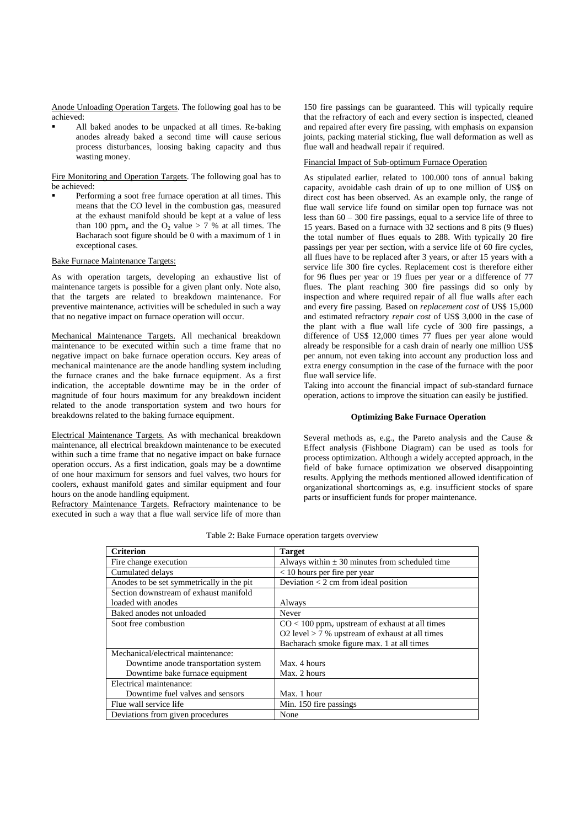Anode Unloading Operation Targets. The following goal has to be achieved:

 All baked anodes to be unpacked at all times. Re-baking anodes already baked a second time will cause serious process disturbances, loosing baking capacity and thus wasting money.

Fire Monitoring and Operation Targets. The following goal has to be achieved:

 Performing a soot free furnace operation at all times. This means that the CO level in the combustion gas, measured at the exhaust manifold should be kept at a value of less than 100 ppm<sub>v</sub> and the  $O_2$  value > 7 % at all times. The Bacharach soot figure should be 0 with a maximum of 1 in exceptional cases.

#### Bake Furnace Maintenance Targets:

As with operation targets, developing an exhaustive list of maintenance targets is possible for a given plant only. Note also, that the targets are related to breakdown maintenance. For preventive maintenance, activities will be scheduled in such a way that no negative impact on furnace operation will occur.

Mechanical Maintenance Targets. All mechanical breakdown maintenance to be executed within such a time frame that no negative impact on bake furnace operation occurs. Key areas of mechanical maintenance are the anode handling system including the furnace cranes and the bake furnace equipment. As a first indication, the acceptable downtime may be in the order of magnitude of four hours maximum for any breakdown incident related to the anode transportation system and two hours for breakdowns related to the baking furnace equipment.

Electrical Maintenance Targets. As with mechanical breakdown maintenance, all electrical breakdown maintenance to be executed within such a time frame that no negative impact on bake furnace operation occurs. As a first indication, goals may be a downtime of one hour maximum for sensors and fuel valves, two hours for coolers, exhaust manifold gates and similar equipment and four hours on the anode handling equipment.

Refractory Maintenance Targets. Refractory maintenance to be executed in such a way that a flue wall service life of more than

150 fire passings can be guaranteed. This will typically require that the refractory of each and every section is inspected, cleaned and repaired after every fire passing, with emphasis on expansion joints, packing material sticking, flue wall deformation as well as flue wall and headwall repair if required.

### Financial Impact of Sub-optimum Furnace Operation

As stipulated earlier, related to 100.000 tons of annual baking capacity, avoidable cash drain of up to one million of US\$ on direct cost has been observed. As an example only, the range of flue wall service life found on similar open top furnace was not less than 60 – 300 fire passings, equal to a service life of three to 15 years. Based on a furnace with 32 sections and 8 pits (9 flues) the total number of flues equals to 288. With typically 20 fire passings per year per section, with a service life of 60 fire cycles, all flues have to be replaced after 3 years, or after 15 years with a service life 300 fire cycles. Replacement cost is therefore either for 96 flues per year or 19 flues per year or a difference of 77 flues. The plant reaching 300 fire passings did so only by inspection and where required repair of all flue walls after each and every fire passing. Based on *replacement cost* of US\$ 15,000 and estimated refractory *repair cost* of US\$ 3,000 in the case of the plant with a flue wall life cycle of 300 fire passings, a difference of US\$ 12,000 times 77 flues per year alone would already be responsible for a cash drain of nearly one million US\$ per annum, not even taking into account any production loss and extra energy consumption in the case of the furnace with the poor flue wall service life.

Taking into account the financial impact of sub-standard furnace operation, actions to improve the situation can easily be justified.

### **Optimizing Bake Furnace Operation**

Several methods as, e.g., the Pareto analysis and the Cause & Effect analysis (Fishbone Diagram) can be used as tools for process optimization. Although a widely accepted approach, in the field of bake furnace optimization we observed disappointing results. Applying the methods mentioned allowed identification of organizational shortcomings as, e.g. insufficient stocks of spare parts or insufficient funds for proper maintenance.

| <b>Criterion</b>                          | <b>Target</b>                                      |  |  |
|-------------------------------------------|----------------------------------------------------|--|--|
| Fire change execution                     | Always within $\pm$ 30 minutes from scheduled time |  |  |
| Cumulated delays                          | $<$ 10 hours per fire per year                     |  |  |
| Anodes to be set symmetrically in the pit | Deviation $<$ 2 cm from ideal position             |  |  |
| Section downstream of exhaust manifold    |                                                    |  |  |
| loaded with anodes                        | Always                                             |  |  |
| Baked anodes not unloaded                 | Never                                              |  |  |
| Soot free combustion                      | $CO < 100$ ppm, upstream of exhaust at all times   |  |  |
|                                           | O2 level $> 7$ % upstream of exhaust at all times  |  |  |
|                                           | Bacharach smoke figure max. 1 at all times         |  |  |
| Mechanical/electrical maintenance:        |                                                    |  |  |
| Downtime anode transportation system      | Max. 4 hours                                       |  |  |
| Downtime bake furnace equipment           | Max. 2 hours                                       |  |  |
| Electrical maintenance:                   |                                                    |  |  |
| Downtime fuel valves and sensors          | Max. 1 hour                                        |  |  |
| Flue wall service life                    | Min. 150 fire passings                             |  |  |
| Deviations from given procedures          | None                                               |  |  |

Table 2: Bake Furnace operation targets overview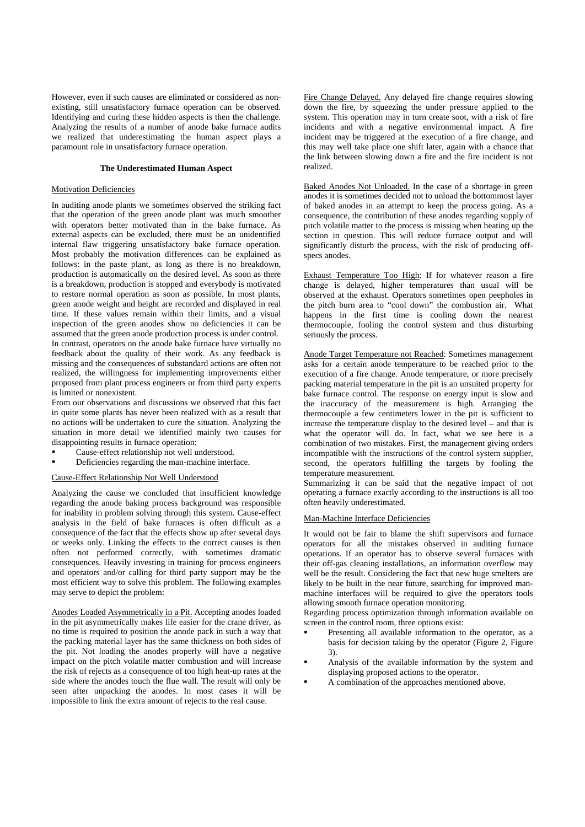However, even if such causes are eliminated or considered as nonexisting, still unsatisfactory furnace operation can be observed. Identifying and curing these hidden aspects is then the challenge. Analyzing the results of a number of anode bake furnace audits we realized that underestimating the human aspect plays a paramount role in unsatisfactory furnace operation.

### **The Underestimated Human Aspect**

### Motivation Deficiencies

In auditing anode plants we sometimes observed the striking fact that the operation of the green anode plant was much smoother with operators better motivated than in the bake furnace. As external aspects can be excluded, there must be an unidentified internal flaw triggering unsatisfactory bake furnace operation. Most probably the motivation differences can be explained as follows: in the paste plant, as long as there is no breakdown, production is automatically on the desired level. As soon as there is a breakdown, production is stopped and everybody is motivated to restore normal operation as soon as possible. In most plants, green anode weight and height are recorded and displayed in real time. If these values remain within their limits, and a visual inspection of the green anodes show no deficiencies it can be assumed that the green anode production process is under control. In contrast, operators on the anode bake furnace have virtually no feedback about the quality of their work. As any feedback is missing and the consequences of substandard actions are often not realized, the willingness for implementing improvements either proposed from plant process engineers or from third party experts is limited or nonexistent.

From our observations and discussions we observed that this fact in quite some plants has never been realized with as a result that no actions will be undertaken to cure the situation. Analyzing the situation in more detail we identified mainly two causes for disappointing results in furnace operation:

- Cause-effect relationship not well understood.
- Deficiencies regarding the man-machine interface.

# Cause-Effect Relationship Not Well Understood

Analyzing the cause we concluded that insufficient knowledge regarding the anode baking process background was responsible for inability in problem solving through this system. Cause-effect analysis in the field of bake furnaces is often difficult as a consequence of the fact that the effects show up after several days or weeks only. Linking the effects to the correct causes is then often not performed correctly, with sometimes dramatic consequences. Heavily investing in training for process engineers and operators and/or calling for third party support may be the most efficient way to solve this problem. The following examples may serve to depict the problem:

Anodes Loaded Asymmetrically in a Pit. Accepting anodes loaded in the pit asymmetrically makes life easier for the crane driver, as no time is required to position the anode pack in such a way that the packing material layer has the same thickness on both sides of the pit. Not loading the anodes properly will have a negative impact on the pitch volatile matter combustion and will increase the risk of rejects as a consequence of too high heat-up rates at the side where the anodes touch the flue wall. The result will only be seen after unpacking the anodes. In most cases it will be impossible to link the extra amount of rejects to the real cause.

Fire Change Delayed. Any delayed fire change requires slowing down the fire, by squeezing the under pressure applied to the system. This operation may in turn create soot, with a risk of fire incidents and with a negative environmental impact. A fire incident may be triggered at the execution of a fire change, and this may well take place one shift later, again with a chance that the link between slowing down a fire and the fire incident is not realized.

Baked Anodes Not Unloaded. In the case of a shortage in green anodes it is sometimes decided not to unload the bottommost layer of baked anodes in an attempt to keep the process going. As a consequence, the contribution of these anodes regarding supply of pitch volatile matter to the process is missing when heating up the section in question. This will reduce furnace output and will significantly disturb the process, with the risk of producing offspecs anodes.

Exhaust Temperature Too High: If for whatever reason a fire change is delayed, higher temperatures than usual will be observed at the exhaust. Operators sometimes open peepholes in the pitch burn area to "cool down" the combustion air. What happens in the first time is cooling down the nearest thermocouple, fooling the control system and thus disturbing seriously the process.

Anode Target Temperature not Reached: Sometimes management asks for a certain anode temperature to be reached prior to the execution of a fire change. Anode temperature, or more precisely packing material temperature in the pit is an unsuited property for bake furnace control. The response on energy input is slow and the inaccuracy of the measurement is high. Arranging the thermocouple a few centimeters lower in the pit is sufficient to increase the temperature display to the desired level – and that is what the operator will do. In fact, what we see here is a combination of two mistakes. First, the management giving orders incompatible with the instructions of the control system supplier, second, the operators fulfilling the targets by fooling the temperature measurement.

Summarizing it can be said that the negative impact of not operating a furnace exactly according to the instructions is all too often heavily underestimated.

#### Man-Machine Interface Deficiencies

It would not be fair to blame the shift supervisors and furnace operators for all the mistakes observed in auditing furnace operations. If an operator has to observe several furnaces with their off-gas cleaning installations, an information overflow may well be the result. Considering the fact that new huge smelters are likely to be built in the near future, searching for improved manmachine interfaces will be required to give the operators tools allowing smooth furnace operation monitoring.

Regarding process optimization through information available on screen in the control room, three options exist:

- Presenting all available information to the operator, as a basis for decision taking by the operator (Figure 2, Figure 3).
- Analysis of the available information by the system and displaying proposed actions to the operator.
- A combination of the approaches mentioned above.